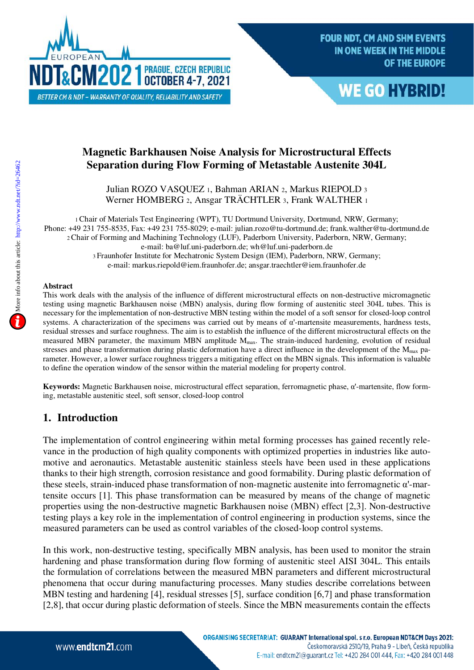



# **Magnetic Barkhausen Noise Analysis for Microstructural Effects Separation during Flow Forming of Metastable Austenite 304L**

Julian ROZO VASQUEZ <sup>1</sup>, Bahman ARIAN <sup>2</sup>, Markus RIEPOLD <sup>3</sup> Werner HOMBERG 2, Ansgar TRÄCHTLER 3, Frank WALTHER 1

<sup>1</sup>Chair of Materials Test Engineering (WPT), TU Dortmund University, Dortmund, NRW, Germany; Phone: +49 231 755-8535, Fax: +49 231 755-8029; e-mail: julian.rozo@tu-dortmund.de; frank.walther@tu-dortmund.de <sup>2</sup>Chair of Forming and Machining Technology (LUF), Paderborn University, Paderborn, NRW, Germany; e-mail: ba@luf.uni-paderborn.de; wh@luf.uni-paderborn.de <sup>3</sup>Fraunhofer Institute for Mechatronic System Design (IEM), Paderborn, NRW, Germany; e-mail: markus.riepold@iem.fraunhofer.de; ansgar.traechtler@iem.fraunhofer.de

#### **Abstract**

This work deals with the analysis of the influence of different microstructural effects on non-destructive micromagnetic testing using magnetic Barkhausen noise (MBN) analysis, during flow forming of austenitic steel 304L tubes. This is necessary for the implementation of non-destructive MBN testing within the model of a soft sensor for closed-loop control systems. A characterization of the specimens was carried out by means of α'-martensite measurements, hardness tests, residual stresses and surface roughness. The aim is to establish the influence of the different microstructural effects on the measured MBN parameter, the maximum MBN amplitude M<sub>max</sub>. The strain-induced hardening, evolution of residual stresses and phase transformation during plastic deformation have a direct influence in the development of the  $M_{\text{max}}$  parameter. However, a lower surface roughness triggers a mitigating effect on the MBN signals. This information is valuable to define the operation window of the sensor within the material modeling for property control.

**Keywords:** Magnetic Barkhausen noise, microstructural effect separation, ferromagnetic phase, α'-martensite, flow forming, metastable austenitic steel, soft sensor, closed-loop control

# **1. Introduction**

The implementation of control engineering within metal forming processes has gained recently relevance in the production of high quality components with optimized properties in industries like automotive and aeronautics. Metastable austenitic stainless steels have been used in these applications thanks to their high strength, corrosion resistance and good formability. During plastic deformation of these steels, strain-induced phase transformation of non-magnetic austenite into ferromagnetic α'-martensite occurs [1]. This phase transformation can be measured by means of the change of magnetic properties using the non-destructive magnetic Barkhausen noise (MBN) effect [2,3]. Non-destructive testing plays a key role in the implementation of control engineering in production systems, since the measured parameters can be used as control variables of the closed-loop control systems.

In this work, non-destructive testing, specifically MBN analysis, has been used to monitor the strain hardening and phase transformation during flow forming of austenitic steel AISI 304L. This entails the formulation of correlations between the measured MBN parameters and different microstructural phenomena that occur during manufacturing processes. Many studies describe correlations between MBN testing and hardening [4], residual stresses [5], surface condition [6,7] and phase transformation [2,8], that occur during plastic deformation of steels. Since the MBN measurements contain the effects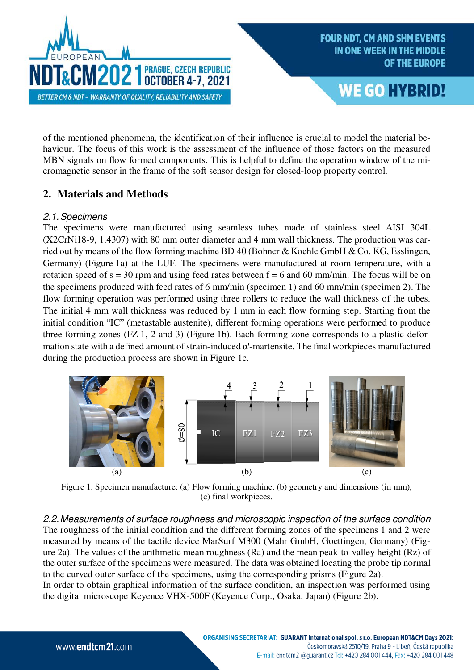



of the mentioned phenomena, the identification of their influence is crucial to model the material behaviour. The focus of this work is the assessment of the influence of those factors on the measured MBN signals on flow formed components. This is helpful to define the operation window of the micromagnetic sensor in the frame of the soft sensor design for closed-loop property control.

# **2. Materials and Methods**

#### 2.1.Specimens

The specimens were manufactured using seamless tubes made of stainless steel AISI 304L (X2CrNi18-9, 1.4307) with 80 mm outer diameter and 4 mm wall thickness. The production was carried out by means of the flow forming machine BD 40 (Bohner & Koehle GmbH & Co. KG, Esslingen, Germany) (Figure 1a) at the LUF. The specimens were manufactured at room temperature, with a rotation speed of  $s = 30$  rpm and using feed rates between  $f = 6$  and 60 mm/min. The focus will be on the specimens produced with feed rates of 6 mm/min (specimen 1) and 60 mm/min (specimen 2). The flow forming operation was performed using three rollers to reduce the wall thickness of the tubes. The initial 4 mm wall thickness was reduced by 1 mm in each flow forming step. Starting from the initial condition "IC" (metastable austenite), different forming operations were performed to produce three forming zones (FZ 1, 2 and 3) (Figure 1b). Each forming zone corresponds to a plastic deformation state with a defined amount of strain-induced  $\alpha'$ -martensite. The final workpieces manufactured during the production process are shown in Figure 1c.



Figure 1. Specimen manufacture: (a) Flow forming machine; (b) geometry and dimensions (in mm), (c) final workpieces.

2.2.Measurements of surface roughness and microscopic inspection of the surface condition The roughness of the initial condition and the different forming zones of the specimens 1 and 2 were measured by means of the tactile device MarSurf M300 (Mahr GmbH, Goettingen, Germany) (Figure 2a). The values of the arithmetic mean roughness (Ra) and the mean peak-to-valley height (Rz) of the outer surface of the specimens were measured. The data was obtained locating the probe tip normal to the curved outer surface of the specimens, using the corresponding prisms (Figure 2a). In order to obtain graphical information of the surface condition, an inspection was performed using the digital microscope Keyence VHX-500F (Keyence Corp., Osaka, Japan) (Figure 2b).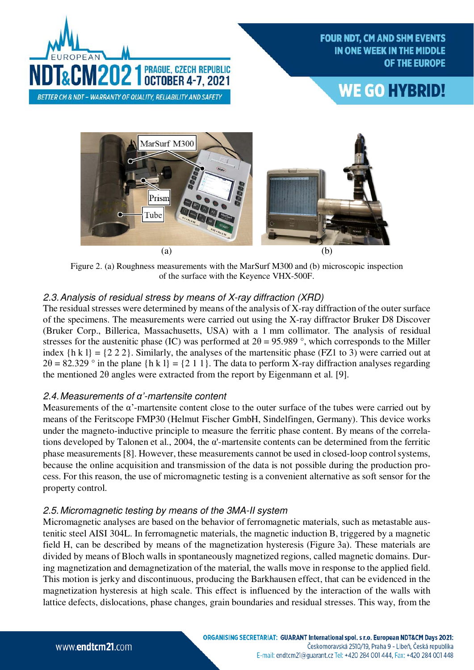

# **WE GO HYBRID!**



Figure 2. (a) Roughness measurements with the MarSurf M300 and (b) microscopic inspection of the surface with the Keyence VHX-500F.

# 2.3. Analysis of residual stress by means of X-ray diffraction (XRD)

The residual stresses were determined by means of the analysis of X-ray diffraction of the outer surface of the specimens. The measurements were carried out using the X-ray diffractor Bruker D8 Discover (Bruker Corp., Billerica, Massachusetts, USA) with a 1 mm collimator. The analysis of residual stresses for the austenitic phase (IC) was performed at  $2\theta = 95.989$  °, which corresponds to the Miller index  ${h k l} = {2 2 2}$ . Similarly, the analyses of the martensitic phase (FZ1 to 3) were carried out at  $2\theta = 82.329$  ° in the plane {h k 1} = {2 1 1}. The data to perform X-ray diffraction analyses regarding the mentioned  $2\theta$  angles were extracted from the report by Eigenmann et al. [9].

#### 2.4.Measurements of *α'*-martensite content

Measurements of the  $\alpha$ '-martensite content close to the outer surface of the tubes were carried out by means of the Feritscope FMP30 (Helmut Fischer GmbH, Sindelfingen, Germany). This device works under the magneto-inductive principle to measure the ferritic phase content. By means of the correlations developed by Talonen et al., 2004, the  $\alpha$ -martensite contents can be determined from the ferritic phase measurements [8]. However, these measurements cannot be used in closed-loop controlsystems, because the online acquisition and transmission of the data is not possible during the production process. For this reason, the use of micromagnetic testing is a convenient alternative as soft sensor for the property control.

# 2.5.Micromagnetic testing by means of the 3MA-II system

Micromagnetic analyses are based on the behavior of ferromagnetic materials, such as metastable austenitic steel AISI 304L. In ferromagnetic materials, the magnetic induction B, triggered by a magnetic field H, can be described by means of the magnetization hysteresis (Figure 3a). These materials are divided by means of Bloch walls in spontaneously magnetized regions, called magnetic domains. During magnetization and demagnetization of the material, the walls move in response to the applied field. This motion is jerky and discontinuous, producing the Barkhausen effect, that can be evidenced in the magnetization hysteresis at high scale. This effect is influenced by the interaction of the walls with lattice defects, dislocations, phase changes, grain boundaries and residual stresses. This way, from the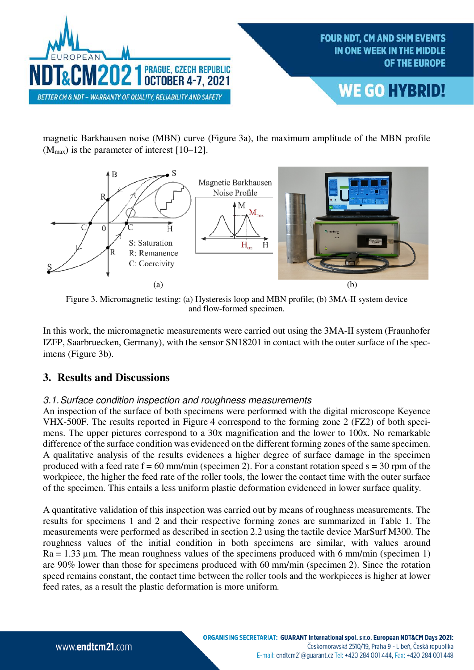

magnetic Barkhausen noise (MBN) curve (Figure 3a), the maximum amplitude of the MBN profile  $(M_{\text{max}})$  is the parameter of interest [10–12].



Figure 3. Micromagnetic testing: (a) Hysteresis loop and MBN profile; (b) 3MA-II system device and flow-formed specimen.

In this work, the micromagnetic measurements were carried out using the 3MA-II system (Fraunhofer IZFP, Saarbruecken, Germany), with the sensor SN18201 in contact with the outer surface of the specimens (Figure 3b).

# **3. Results and Discussions**

#### 3.1. Surface condition inspection and roughness measurements

An inspection of the surface of both specimens were performed with the digital microscope Keyence VHX-500F. The results reported in Figure 4 correspond to the forming zone 2 (FZ2) of both specimens. The upper pictures correspond to a 30x magnification and the lower to 100x. No remarkable difference of the surface condition was evidenced on the different forming zones of the same specimen. A qualitative analysis of the results evidences a higher degree of surface damage in the specimen produced with a feed rate  $f = 60$  mm/min (specimen 2). For a constant rotation speed  $s = 30$  rpm of the workpiece, the higher the feed rate of the roller tools, the lower the contact time with the outer surface of the specimen. This entails a less uniform plastic deformation evidenced in lower surface quality.

A quantitative validation of this inspection was carried out by means of roughness measurements. The results for specimens 1 and 2 and their respective forming zones are summarized in Table 1. The measurements were performed as described in section 2.2 using the tactile device MarSurf M300. The roughness values of the initial condition in both specimens are similar, with values around  $Ra = 1.33$  um. The mean roughness values of the specimens produced with 6 mm/min (specimen 1) are 90% lower than those for specimens produced with 60 mm/min (specimen 2). Since the rotation speed remains constant, the contact time between the roller tools and the workpieces is higher at lower feed rates, as a result the plastic deformation is more uniform.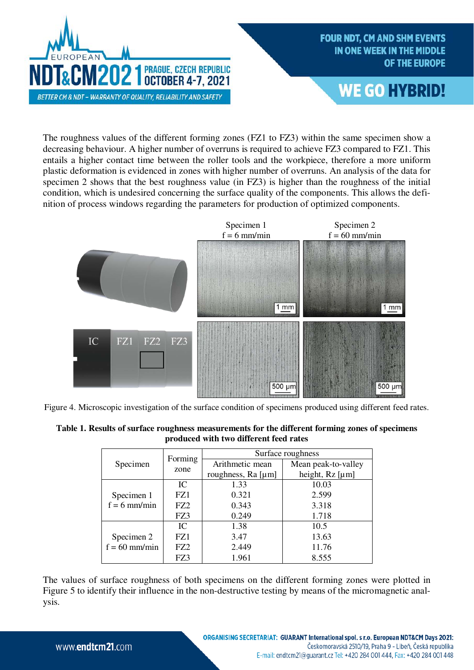



The roughness values of the different forming zones (FZ1 to FZ3) within the same specimen show a decreasing behaviour. A higher number of overruns is required to achieve FZ3 compared to FZ1. This entails a higher contact time between the roller tools and the workpiece, therefore a more uniform plastic deformation is evidenced in zones with higher number of overruns. An analysis of the data for specimen 2 shows that the best roughness value (in FZ3) is higher than the roughness of the initial condition, which is undesired concerning the surface quality of the components. This allows the definition of process windows regarding the parameters for production of optimized components.



Figure 4. Microscopic investigation of the surface condition of specimens produced using different feed rates.

| Table 1. Results of surface roughness measurements for the different forming zones of specimens |
|-------------------------------------------------------------------------------------------------|
| produced with two different feed rates                                                          |

|                               | Forming | Surface roughness  |                         |  |
|-------------------------------|---------|--------------------|-------------------------|--|
| Specimen                      | zone    | Arithmetic mean    | Mean peak-to-valley     |  |
|                               |         | roughness, Ra [µm] | height, $Rz$ [ $\mu$ m] |  |
| Specimen 1<br>$f = 6$ mm/min  | IC      | 1.33               | 10.03                   |  |
|                               | FZ1     | 0.321              | 2.599                   |  |
|                               | FZ2     | 0.343              | 3.318                   |  |
|                               | FZ3     | 0.249              | 1.718                   |  |
| Specimen 2<br>$f = 60$ mm/min | IC      | 1.38               | 10.5                    |  |
|                               | FZ1     | 3.47               | 13.63                   |  |
|                               | FZ2     | 2.449              | 11.76                   |  |
|                               | FZ3     | 1.961              | 8.555                   |  |

The values of surface roughness of both specimens on the different forming zones were plotted in Figure 5 to identify their influence in the non-destructive testing by means of the micromagnetic analysis.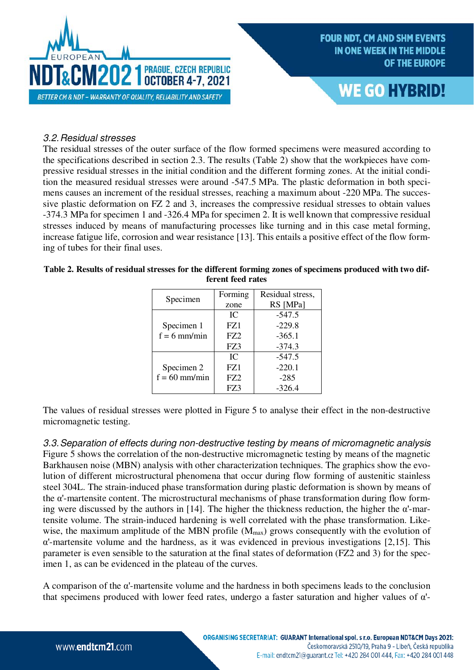



#### 3.2.Residual stresses

The residual stresses of the outer surface of the flow formed specimens were measured according to the specifications described in section 2.3. The results (Table 2) show that the workpieces have compressive residual stresses in the initial condition and the different forming zones. At the initial condition the measured residual stresses were around -547.5 MPa. The plastic deformation in both specimens causes an increment of the residual stresses, reaching a maximum about -220 MPa. The successive plastic deformation on FZ 2 and 3, increases the compressive residual stresses to obtain values -374.3 MPa for specimen 1 and -326.4 MPa for specimen 2. It is well known that compressive residual stresses induced by means of manufacturing processes like turning and in this case metal forming, increase fatigue life, corrosion and wear resistance [13]. This entails a positive effect of the flow forming of tubes for their final uses.

|                 | Forming | Residual stress, |
|-----------------|---------|------------------|
| Specimen        |         |                  |
|                 | zone    | RS [MPa]         |
|                 | IC.     | $-547.5$         |
| Specimen 1      | FZ1     | $-229.8$         |
| $f = 6$ mm/min  | FZ2     | $-365.1$         |
|                 | FZ3     | $-374.3$         |
|                 | IC      | $-547.5$         |
| Specimen 2      | FZ1     | $-220.1$         |
| $f = 60$ mm/min | FZ2     | $-285$           |
|                 | FZ3     | $-326.4$         |

| Table 2. Results of residual stresses for the different forming zones of specimens produced with two dif- |                   |  |  |
|-----------------------------------------------------------------------------------------------------------|-------------------|--|--|
|                                                                                                           | ferent feed rates |  |  |

The values of residual stresses were plotted in Figure 5 to analyse their effect in the non-destructive micromagnetic testing.

3.3.Separation of effects during non-destructive testing by means of micromagnetic analysis Figure 5 shows the correlation of the non-destructive micromagnetic testing by means of the magnetic Barkhausen noise (MBN) analysis with other characterization techniques. The graphics show the evolution of different microstructural phenomena that occur during flow forming of austenitic stainless steel 304L. The strain-induced phase transformation during plastic deformation is shown by means of the α'-martensite content. The microstructural mechanisms of phase transformation during flow forming were discussed by the authors in [14]. The higher the thickness reduction, the higher the  $\alpha$ -martensite volume. The strain-induced hardening is well correlated with the phase transformation. Likewise, the maximum amplitude of the MBN profile  $(M_{max})$  grows consequently with the evolution of α'-martensite volume and the hardness, as it was evidenced in previous investigations [2,15]. This parameter is even sensible to the saturation at the final states of deformation (FZ2 and 3) for the specimen 1, as can be evidenced in the plateau of the curves.

A comparison of the α'-martensite volume and the hardness in both specimens leads to the conclusion that specimens produced with lower feed rates, undergo a faster saturation and higher values of  $\alpha$ -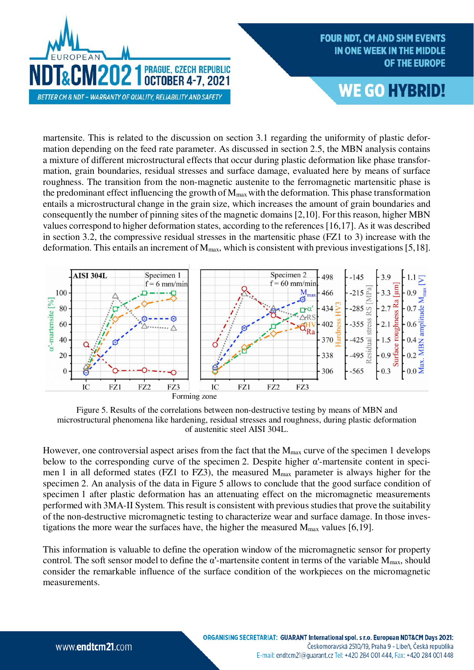

# **WE GO HYBRID!**

martensite. This is related to the discussion on section 3.1 regarding the uniformity of plastic deformation depending on the feed rate parameter. As discussed in section 2.5, the MBN analysis contains a mixture of different microstructural effects that occur during plastic deformation like phase transformation, grain boundaries, residual stresses and surface damage, evaluated here by means of surface roughness. The transition from the non-magnetic austenite to the ferromagnetic martensitic phase is the predominant effect influencing the growth of  $M_{\text{max}}$  with the deformation. This phase transformation entails a microstructural change in the grain size, which increases the amount of grain boundaries and consequently the number of pinning sites of the magnetic domains [2,10]. For this reason, higher MBN values correspond to higher deformation states, according to the references [16,17]. As it was described in section 3.2, the compressive residual stresses in the martensitic phase (FZ1 to 3) increase with the deformation. This entails an increment of  $M_{\text{max}}$ , which is consistent with previous investigations [5,18].



Figure 5. Results of the correlations between non-destructive testing by means of MBN and microstructural phenomena like hardening, residual stresses and roughness, during plastic deformation of austenitic steel AISI 304L.

However, one controversial aspect arises from the fact that the M<sub>max</sub> curve of the specimen 1 develops below to the corresponding curve of the specimen 2. Despite higher  $\alpha'$ -martensite content in specimen 1 in all deformed states (FZ1 to FZ3), the measured  $M_{\text{max}}$  parameter is always higher for the specimen 2. An analysis of the data in Figure 5 allows to conclude that the good surface condition of specimen 1 after plastic deformation has an attenuating effect on the micromagnetic measurements performed with 3MA-II System. This result is consistent with previous studies that prove the suitability of the non-destructive micromagnetic testing to characterize wear and surface damage. In those investigations the more wear the surfaces have, the higher the measured  $M_{\text{max}}$  values [6,19].

This information is valuable to define the operation window of the micromagnetic sensor for property control. The soft sensor model to define the  $\alpha'$ -martensite content in terms of the variable  $M_{\text{max}}$ , should consider the remarkable influence of the surface condition of the workpieces on the micromagnetic measurements.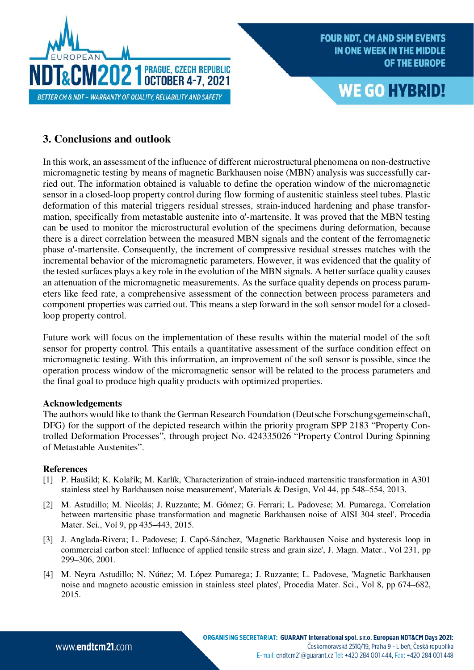



# **3. Conclusions and outlook**

In this work, an assessment of the influence of different microstructural phenomena on non-destructive micromagnetic testing by means of magnetic Barkhausen noise (MBN) analysis was successfully carried out. The information obtained is valuable to define the operation window of the micromagnetic sensor in a closed-loop property control during flow forming of austenitic stainless steel tubes. Plastic deformation of this material triggers residual stresses, strain-induced hardening and phase transformation, specifically from metastable austenite into  $\alpha$ -martensite. It was proved that the MBN testing can be used to monitor the microstructural evolution of the specimens during deformation, because there is a direct correlation between the measured MBN signals and the content of the ferromagnetic phase α'-martensite. Consequently, the increment of compressive residual stresses matches with the incremental behavior of the micromagnetic parameters. However, it was evidenced that the quality of the tested surfaces plays a key role in the evolution of the MBN signals. A better surface quality causes an attenuation of the micromagnetic measurements. As the surface quality depends on process parameters like feed rate, a comprehensive assessment of the connection between process parameters and component properties was carried out. This means a step forward in the soft sensor model for a closedloop property control.

Future work will focus on the implementation of these results within the material model of the soft sensor for property control. This entails a quantitative assessment of the surface condition effect on micromagnetic testing. With this information, an improvement of the soft sensor is possible, since the operation process window of the micromagnetic sensor will be related to the process parameters and the final goal to produce high quality products with optimized properties.

#### **Acknowledgements**

The authors would like to thank the German Research Foundation (Deutsche Forschungsgemeinschaft, DFG) for the support of the depicted research within the priority program SPP 2183 "Property Controlled Deformation Processes", through project No. 424335026 "Property Control During Spinning of Metastable Austenites".

#### **References**

- [1] P. Haušild; K. Kolařík; M. Karlík, 'Characterization of strain-induced martensitic transformation in A301 stainless steel by Barkhausen noise measurement', Materials & Design, Vol 44, pp 548–554, 2013.
- [2] M. Astudillo; M. Nicolás; J. Ruzzante; M. Gómez; G. Ferrari; L. Padovese; M. Pumarega, 'Correlation between martensitic phase transformation and magnetic Barkhausen noise of AISI 304 steel', Procedia Mater. Sci., Vol 9, pp 435–443, 2015.
- [3] J. Anglada-Rivera; L. Padovese; J. Capó-Sánchez, 'Magnetic Barkhausen Noise and hysteresis loop in commercial carbon steel: Influence of applied tensile stress and grain size', J. Magn. Mater., Vol 231, pp 299–306, 2001.
- [4] M. Neyra Astudillo; N. Núñez; M. López Pumarega; J. Ruzzante; L. Padovese, 'Magnetic Barkhausen noise and magneto acoustic emission in stainless steel plates', Procedia Mater. Sci., Vol 8, pp 674–682, 2015.